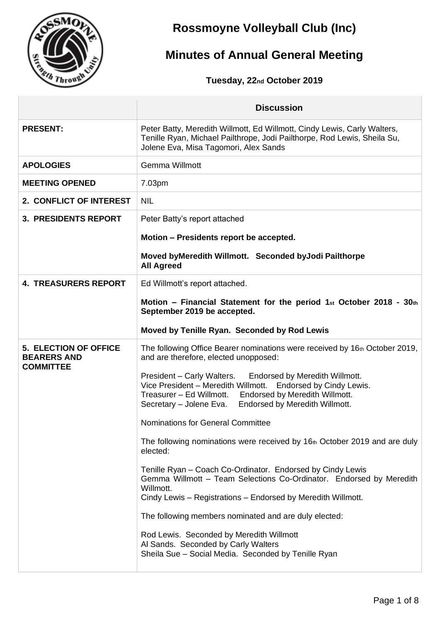

## **Rossmoyne Volleyball Club (Inc)**

# **Minutes of Annual General Meeting**

**Tuesday, 22nd October 2019**

|                                                                        | <b>Discussion</b>                                                                                                                                                                                                                                 |
|------------------------------------------------------------------------|---------------------------------------------------------------------------------------------------------------------------------------------------------------------------------------------------------------------------------------------------|
| <b>PRESENT:</b>                                                        | Peter Batty, Meredith Willmott, Ed Willmott, Cindy Lewis, Carly Walters,<br>Tenille Ryan, Michael Pailthrope, Jodi Pailthorpe, Rod Lewis, Sheila Su,<br>Jolene Eva, Misa Tagomori, Alex Sands                                                     |
| <b>APOLOGIES</b>                                                       | Gemma Willmott                                                                                                                                                                                                                                    |
| <b>MEETING OPENED</b>                                                  | 7.03pm                                                                                                                                                                                                                                            |
| 2. CONFLICT OF INTEREST                                                | <b>NIL</b>                                                                                                                                                                                                                                        |
| <b>3. PRESIDENTS REPORT</b>                                            | Peter Batty's report attached                                                                                                                                                                                                                     |
|                                                                        | Motion – Presidents report be accepted.                                                                                                                                                                                                           |
|                                                                        | Moved byMeredith Willmott. Seconded byJodi Pailthorpe<br><b>All Agreed</b>                                                                                                                                                                        |
| <b>4. TREASURERS REPORT</b>                                            | Ed Willmott's report attached.                                                                                                                                                                                                                    |
|                                                                        | Motion – Financial Statement for the period 1st October 2018 - $30th$<br>September 2019 be accepted.                                                                                                                                              |
|                                                                        | Moved by Tenille Ryan. Seconded by Rod Lewis                                                                                                                                                                                                      |
| <b>5. ELECTION OF OFFICE</b><br><b>BEARERS AND</b><br><b>COMMITTEE</b> | The following Office Bearer nominations were received by 16th October 2019,<br>and are therefore, elected unopposed:                                                                                                                              |
|                                                                        | President - Carly Walters. Endorsed by Meredith Willmott.<br>Vice President - Meredith Willmott. Endorsed by Cindy Lewis.<br>Treasurer - Ed Willmott. Endorsed by Meredith Willmott.<br>Endorsed by Meredith Willmott.<br>Secretary - Jolene Eva. |
|                                                                        | Nominations for General Committee                                                                                                                                                                                                                 |
|                                                                        | The following nominations were received by 16th October 2019 and are duly<br>elected:                                                                                                                                                             |
|                                                                        | Tenille Ryan – Coach Co-Ordinator. Endorsed by Cindy Lewis<br>Gemma Willmott - Team Selections Co-Ordinator. Endorsed by Meredith<br>Willmott.<br>Cindy Lewis - Registrations - Endorsed by Meredith Willmott.                                    |
|                                                                        | The following members nominated and are duly elected:                                                                                                                                                                                             |
|                                                                        | Rod Lewis. Seconded by Meredith Willmott<br>Al Sands. Seconded by Carly Walters<br>Sheila Sue - Social Media. Seconded by Tenille Ryan                                                                                                            |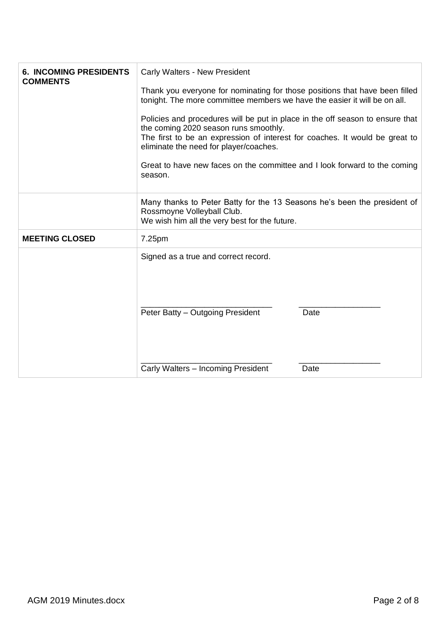| Rossmoyne Volleyball Club.<br>We wish him all the very best for the future.<br><b>MEETING CLOSED</b><br>7.25pm<br>Signed as a true and correct record. | <b>6. INCOMING PRESIDENTS</b><br><b>COMMENTS</b> | <b>Carly Walters - New President</b><br>Thank you everyone for nominating for those positions that have been filled<br>tonight. The more committee members we have the easier it will be on all.<br>Policies and procedures will be put in place in the off season to ensure that<br>the coming 2020 season runs smoothly.<br>The first to be an expression of interest for coaches. It would be great to<br>eliminate the need for player/coaches.<br>Great to have new faces on the committee and I look forward to the coming<br>season. |
|--------------------------------------------------------------------------------------------------------------------------------------------------------|--------------------------------------------------|---------------------------------------------------------------------------------------------------------------------------------------------------------------------------------------------------------------------------------------------------------------------------------------------------------------------------------------------------------------------------------------------------------------------------------------------------------------------------------------------------------------------------------------------|
|                                                                                                                                                        |                                                  | Many thanks to Peter Batty for the 13 Seasons he's been the president of                                                                                                                                                                                                                                                                                                                                                                                                                                                                    |
|                                                                                                                                                        |                                                  |                                                                                                                                                                                                                                                                                                                                                                                                                                                                                                                                             |
| Peter Batty - Outgoing President<br>Date<br>Carly Walters - Incoming President<br>Date                                                                 |                                                  |                                                                                                                                                                                                                                                                                                                                                                                                                                                                                                                                             |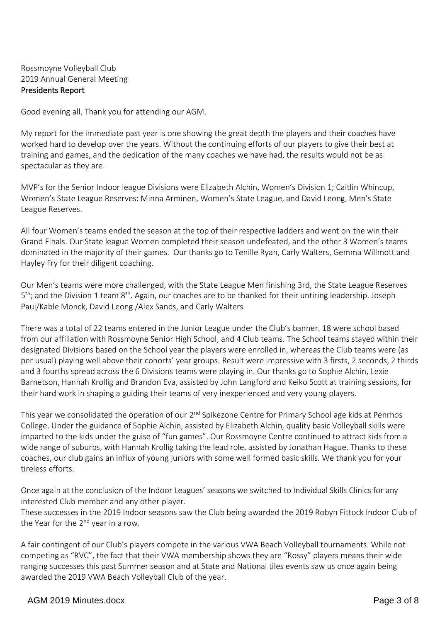### Rossmoyne Volleyball Club 2019 Annual General Meeting Presidents Report

Good evening all. Thank you for attending our AGM.

My report for the immediate past year is one showing the great depth the players and their coaches have worked hard to develop over the years. Without the continuing efforts of our players to give their best at training and games, and the dedication of the many coaches we have had, the results would not be as spectacular as they are.

MVP's for the Senior Indoor league Divisions were Elizabeth Alchin, Women's Division 1; Caitlin Whincup, Women's State League Reserves: Minna Arminen, Women's State League, and David Leong, Men's State League Reserves.

All four Women's teams ended the season at the top of their respective ladders and went on the win their Grand Finals. Our State league Women completed their season undefeated, and the other 3 Women's teams dominated in the majority of their games. Our thanks go to Tenille Ryan, Carly Walters, Gemma Willmott and Hayley Fry for their diligent coaching.

Our Men's teams were more challenged, with the State League Men finishing 3rd, the State League Reserves 5<sup>th</sup>; and the Division 1 team 8<sup>th</sup>. Again, our coaches are to be thanked for their untiring leadership. Joseph Paul/Kable Monck, David Leong /Alex Sands, and Carly Walters

There was a total of 22 teams entered in the Junior League under the Club's banner. 18 were school based from our affiliation with Rossmoyne Senior High School, and 4 Club teams. The School teams stayed within their designated Divisions based on the School year the players were enrolled in, whereas the Club teams were (as per usual) playing well above their cohorts' year groups. Result were impressive with 3 firsts, 2 seconds, 2 thirds and 3 fourths spread across the 6 Divisions teams were playing in. Our thanks go to Sophie Alchin, Lexie Barnetson, Hannah Krollig and Brandon Eva, assisted by John Langford and Keiko Scott at training sessions, for their hard work in shaping a guiding their teams of very inexperienced and very young players.

This year we consolidated the operation of our 2<sup>nd</sup> Spikezone Centre for Primary School age kids at Penrhos College. Under the guidance of Sophie Alchin, assisted by Elizabeth Alchin, quality basic Volleyball skills were imparted to the kids under the guise of "fun games". Our Rossmoyne Centre continued to attract kids from a wide range of suburbs, with Hannah Krollig taking the lead role, assisted by Jonathan Hague. Thanks to these coaches, our club gains an influx of young juniors with some well formed basic skills. We thank you for your tireless efforts.

Once again at the conclusion of the Indoor Leagues' seasons we switched to Individual Skills Clinics for any interested Club member and any other player.

These successes in the 2019 Indoor seasons saw the Club being awarded the 2019 Robyn Fittock Indoor Club of the Year for the  $2^{nd}$  year in a row.

A fair contingent of our Club's players compete in the various VWA Beach Volleyball tournaments. While not competing as "RVC", the fact that their VWA membership shows they are "Rossy" players means their wide ranging successes this past Summer season and at State and National tiles events saw us once again being awarded the 2019 VWA Beach Volleyball Club of the year.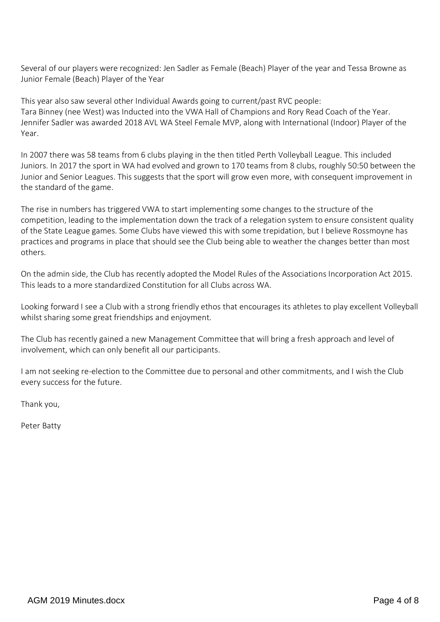Several of our players were recognized: Jen Sadler as Female (Beach) Player of the year and Tessa Browne as Junior Female (Beach) Player of the Year

This year also saw several other Individual Awards going to current/past RVC people: Tara Binney (nee West) was Inducted into the VWA Hall of Champions and Rory Read Coach of the Year. Jennifer Sadler was awarded 2018 AVL WA Steel Female MVP, along with International (Indoor) Player of the Year.

In 2007 there was 58 teams from 6 clubs playing in the then titled Perth Volleyball League. This included Juniors. In 2017 the sport in WA had evolved and grown to 170 teams from 8 clubs, roughly 50:50 between the Junior and Senior Leagues. This suggests that the sport will grow even more, with consequent improvement in the standard of the game.

The rise in numbers has triggered VWA to start implementing some changes to the structure of the competition, leading to the implementation down the track of a relegation system to ensure consistent quality of the State League games. Some Clubs have viewed this with some trepidation, but I believe Rossmoyne has practices and programs in place that should see the Club being able to weather the changes better than most others.

On the admin side, the Club has recently adopted the Model Rules of the Associations Incorporation Act 2015. This leads to a more standardized Constitution for all Clubs across WA.

Looking forward I see a Club with a strong friendly ethos that encourages its athletes to play excellent Volleyball whilst sharing some great friendships and enjoyment.

The Club has recently gained a new Management Committee that will bring a fresh approach and level of involvement, which can only benefit all our participants.

I am not seeking re-election to the Committee due to personal and other commitments, and I wish the Club every success for the future.

Thank you,

Peter Batty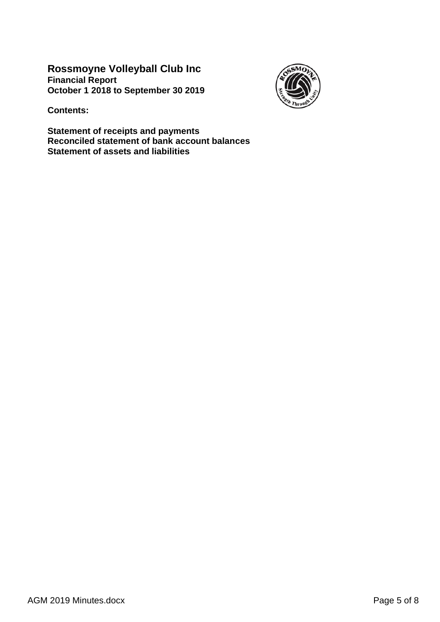**Rossmoyne Volleyball Club Inc Financial Report October 1 2018 to September 30 2019**



**Contents:**

**Statement of receipts and payments Reconciled statement of bank account balances Statement of assets and liabilities**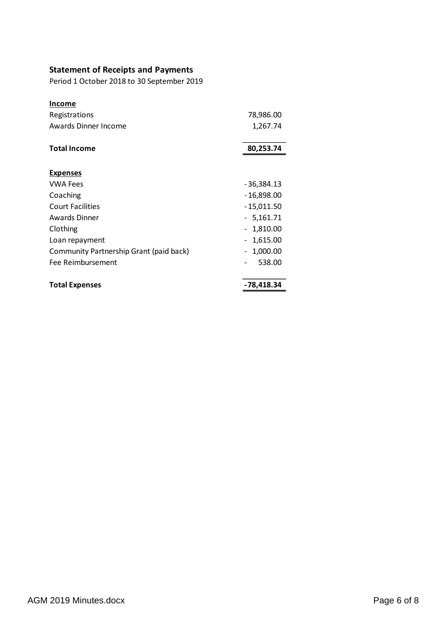## **Statement of Receipts and Payments**

Period 1 October 2018 to 30 September 2019

| <b>Income</b>                           |                               |
|-----------------------------------------|-------------------------------|
| Registrations                           | 78,986.00                     |
| <b>Awards Dinner Income</b>             | 1,267.74                      |
|                                         |                               |
| <b>Total Income</b>                     | 80,253.74                     |
|                                         |                               |
| <b>Expenses</b>                         |                               |
| <b>VWA Fees</b>                         | - 36,384.13                   |
| Coaching                                | - 16,898.00                   |
| <b>Court Facilities</b>                 | $-15,011.50$                  |
| <b>Awards Dinner</b>                    | - 5,161.71                    |
| Clothing                                | 1,810.00                      |
| Loan repayment                          | 1,615.00                      |
| Community Partnership Grant (paid back) | 1,000.00<br>$\qquad \qquad -$ |
| Fee Reimbursement                       | 538.00                        |
| <b>Total Expenses</b>                   | -78,418.34                    |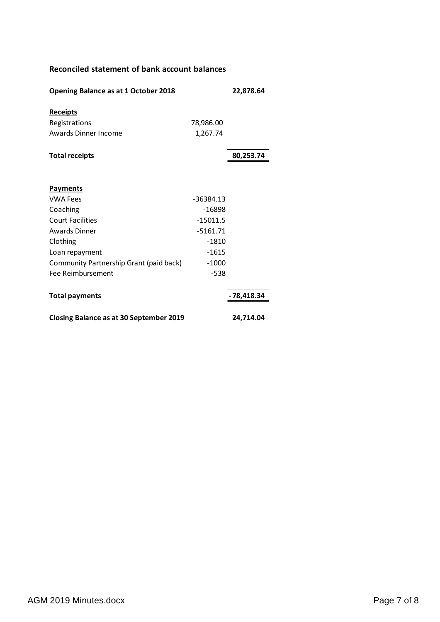### **Reconciled statement of bank account balances**

| Opening Balance as at 1 October 2018           | 22,878.64   |              |
|------------------------------------------------|-------------|--------------|
| <b>Receipts</b>                                |             |              |
| Registrations                                  | 78,986.00   |              |
| Awards Dinner Income                           | 1,267.74    |              |
| <b>Total receipts</b>                          |             | 80,253.74    |
| <b>Payments</b>                                |             |              |
| <b>VWA Fees</b>                                | $-36384.13$ |              |
| Coaching                                       | $-16898$    |              |
| <b>Court Facilities</b>                        | $-15011.5$  |              |
| <b>Awards Dinner</b>                           | $-5161.71$  |              |
| Clothing                                       | $-1810$     |              |
| Loan repayment                                 | $-1615$     |              |
| Community Partnership Grant (paid back)        | $-1000$     |              |
| Fee Reimbursement                              | -538        |              |
| <b>Total payments</b>                          |             | $-78,418.34$ |
| <b>Closing Balance as at 30 September 2019</b> |             | 24,714.04    |